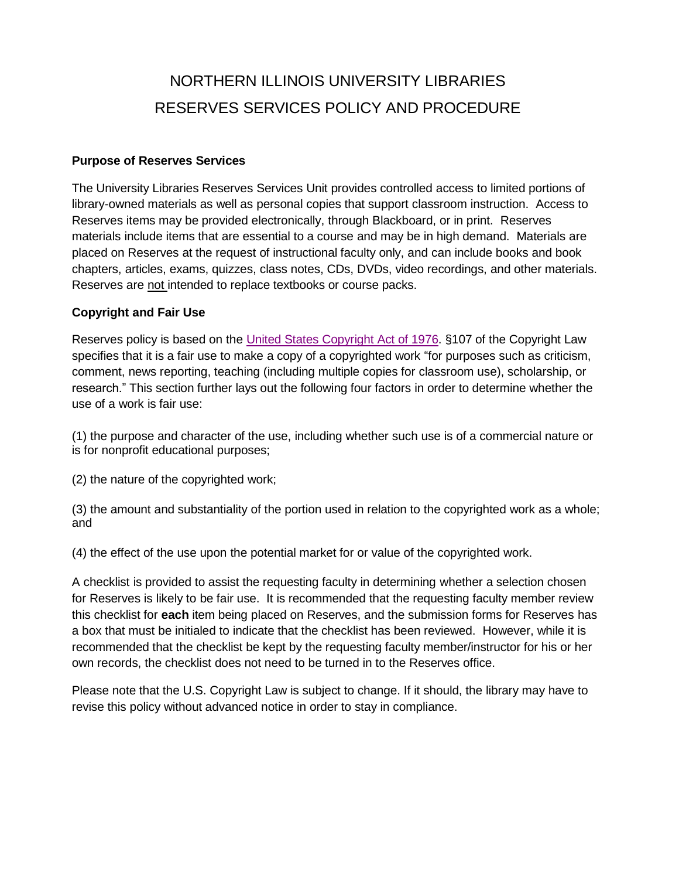# NORTHERN ILLINOIS UNIVERSITY LIBRARIES RESERVES SERVICES POLICY AND PROCEDURE

## **Purpose of Reserves Services**

The University Libraries Reserves Services Unit provides controlled access to limited portions of library-owned materials as well as personal copies that support classroom instruction. Access to Reserves items may be provided electronically, through Blackboard, or in print. Reserves materials include items that are essential to a course and may be in high demand. Materials are placed on Reserves at the request of instructional faculty only, and can include books and book chapters, articles, exams, quizzes, class notes, CDs, DVDs, video recordings, and other materials. Reserves are not intended to replace textbooks or course packs.

## **Copyright and Fair Use**

Reserves policy is based on the United States [Copyright](http://www.copyright.gov/title17/) Act of 1976. §107 of the Copyright Law specifies that it is a fair use to make a copy of a copyrighted work "for purposes such as criticism, comment, news reporting, teaching (including multiple copies for classroom use), scholarship, or research." This section further lays out the following four factors in order to determine whether the use of a work is fair use:

(1) the purpose and character of the use, including whether such use is of a commercial nature or is for nonprofit educational purposes;

(2) the nature of the copyrighted work;

(3) the amount and substantiality of the portion used in relation to the copyrighted work as a whole; and

(4) the effect of the use upon the potential market for or value of the copyrighted work.

A checklist is provided to assist the requesting faculty in determining whether a selection chosen for Reserves is likely to be fair use. It is recommended that the requesting faculty member review this checklist for **each** item being placed on Reserves, and the submission forms for Reserves has a box that must be initialed to indicate that the checklist has been reviewed. However, while it is recommended that the checklist be kept by the requesting faculty member/instructor for his or her own records, the checklist does not need to be turned in to the Reserves office.

Please note that the U.S. Copyright Law is subject to change. If it should, the library may have to revise this policy without advanced notice in order to stay in compliance.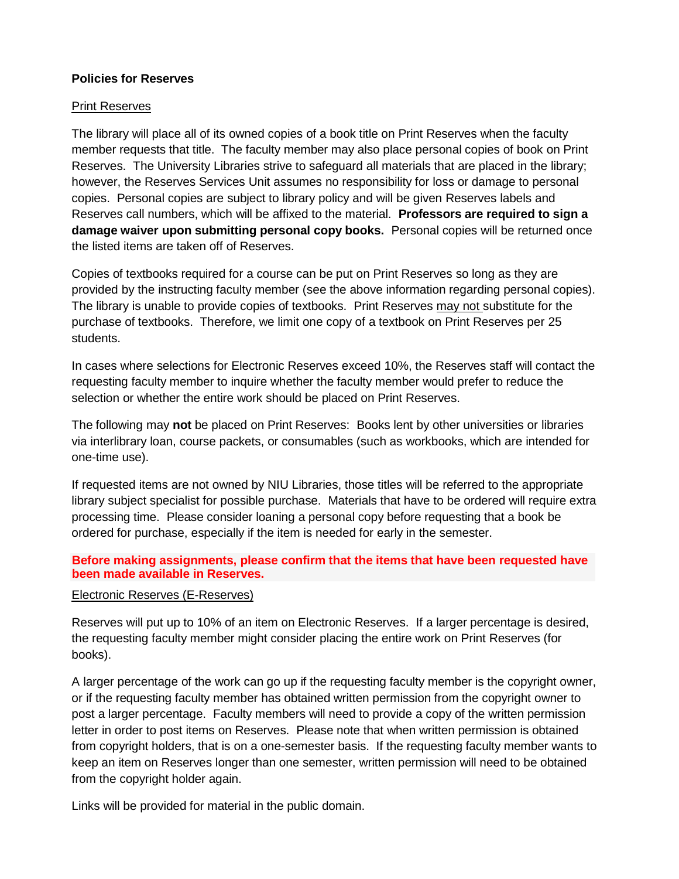## **Policies for Reserves**

#### Print Reserves

The library will place all of its owned copies of a book title on Print Reserves when the faculty member requests that title. The faculty member may also place personal copies of book on Print Reserves. The University Libraries strive to safeguard all materials that are placed in the library; however, the Reserves Services Unit assumes no responsibility for loss or damage to personal copies. Personal copies are subject to library policy and will be given Reserves labels and Reserves call numbers, which will be affixed to the material. **Professors are required to sign a damage waiver upon submitting personal copy books.** Personal copies will be returned once the listed items are taken off of Reserves.

Copies of textbooks required for a course can be put on Print Reserves so long as they are provided by the instructing faculty member (see the above information regarding personal copies). The library is unable to provide copies of textbooks. Print Reserves may not substitute for the purchase of textbooks. Therefore, we limit one copy of a textbook on Print Reserves per 25 students.

In cases where selections for Electronic Reserves exceed 10%, the Reserves staff will contact the requesting faculty member to inquire whether the faculty member would prefer to reduce the selection or whether the entire work should be placed on Print Reserves.

The following may **not** be placed on Print Reserves: Books lent by other universities or libraries via interlibrary loan, course packets, or consumables (such as workbooks, which are intended for one-time use).

If requested items are not owned by NIU Libraries, those titles will be referred to the appropriate library subject specialist for possible purchase. Materials that have to be ordered will require extra processing time. Please consider loaning a personal copy before requesting that a book be ordered for purchase, especially if the item is needed for early in the semester.

## **Before making assignments, please confirm that the items that have been requested have been made available in Reserves.**

#### Electronic Reserves (E-Reserves)

Reserves will put up to 10% of an item on Electronic Reserves. If a larger percentage is desired, the requesting faculty member might consider placing the entire work on Print Reserves (for books).

A larger percentage of the work can go up if the requesting faculty member is the copyright owner, or if the requesting faculty member has obtained written permission from the copyright owner to post a larger percentage. Faculty members will need to provide a copy of the written permission letter in order to post items on Reserves. Please note that when written permission is obtained from copyright holders, that is on a one-semester basis. If the requesting faculty member wants to keep an item on Reserves longer than one semester, written permission will need to be obtained from the copyright holder again.

Links will be provided for material in the public domain.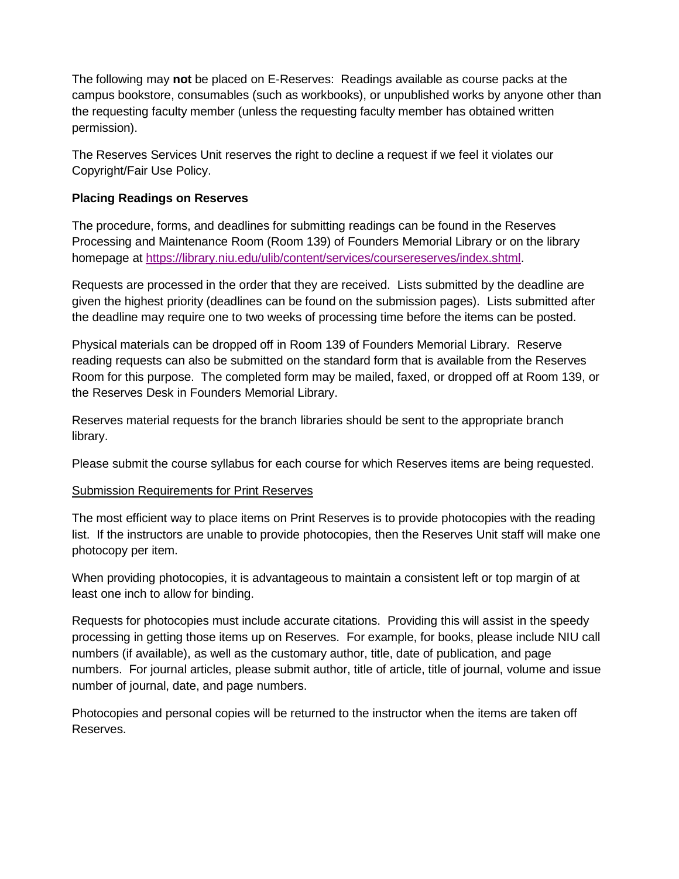The following may **not** be placed on E-Reserves: Readings available as course packs at the campus bookstore, consumables (such as workbooks), or unpublished works by anyone other than the requesting faculty member (unless the requesting faculty member has obtained written permission).

The Reserves Services Unit reserves the right to decline a request if we feel it violates our Copyright/Fair Use Policy.

# **Placing Readings on Reserves**

The procedure, forms, and deadlines for submitting readings can be found in the Reserves Processing and Maintenance Room (Room 139) of Founders Memorial Library or on the library homepage at https://library.niu.edu/ulib/content/services/coursereserves/index.shtml.

Requests are processed in the order that they are received. Lists submitted by the deadline are given the highest priority (deadlines can be found on the submission pages). Lists submitted after the deadline may require one to two weeks of processing time before the items can be posted.

Physical materials can be dropped off in Room 139 of Founders Memorial Library. Reserve reading requests can also be submitted on the standard form that is available from the Reserves Room for this purpose. The completed form may be mailed, faxed, or dropped off at Room 139, or the Reserves Desk in Founders Memorial Library.

Reserves material requests for the branch libraries should be sent to the appropriate branch library.

Please submit the course syllabus for each course for which Reserves items are being requested.

## Submission Requirements for Print Reserves

The most efficient way to place items on Print Reserves is to provide photocopies with the reading list. If the instructors are unable to provide photocopies, then the Reserves Unit staff will make one photocopy per item.

When providing photocopies, it is advantageous to maintain a consistent left or top margin of at least one inch to allow for binding.

Requests for photocopies must include accurate citations. Providing this will assist in the speedy processing in getting those items up on Reserves. For example, for books, please include NIU call numbers (if available), as well as the customary author, title, date of publication, and page numbers. For journal articles, please submit author, title of article, title of journal, volume and issue number of journal, date, and page numbers.

Photocopies and personal copies will be returned to the instructor when the items are taken off Reserves.